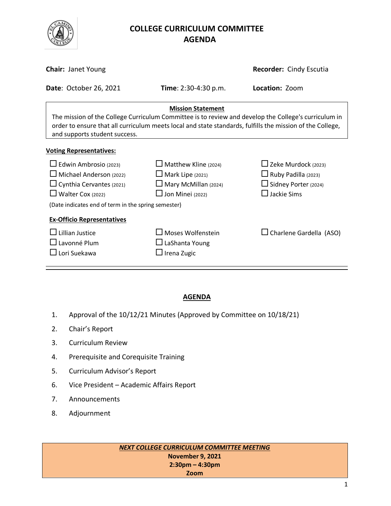

# **COLLEGE CURRICULUM COMMITTEE** **AGENDA**

| <b>Chair: Janet Young</b>                                                                                                                                                                                                                                                      |                                                                                                                  | Recorder: Cindy Escutia                                                                                          |  |  |
|--------------------------------------------------------------------------------------------------------------------------------------------------------------------------------------------------------------------------------------------------------------------------------|------------------------------------------------------------------------------------------------------------------|------------------------------------------------------------------------------------------------------------------|--|--|
| <b>Date: October 26, 2021</b>                                                                                                                                                                                                                                                  | <b>Time</b> : $2:30-4:30$ p.m.                                                                                   | Location: Zoom                                                                                                   |  |  |
| <b>Mission Statement</b><br>The mission of the College Curriculum Committee is to review and develop the College's curriculum in<br>order to ensure that all curriculum meets local and state standards, fulfills the mission of the College,<br>and supports student success. |                                                                                                                  |                                                                                                                  |  |  |
| <b>Voting Representatives:</b>                                                                                                                                                                                                                                                 |                                                                                                                  |                                                                                                                  |  |  |
| $\Box$ Edwin Ambrosio (2023)<br>$\Box$ Michael Anderson (2022)<br>$\Box$ Cynthia Cervantes (2021)<br>$\Box$ Walter Cox (2022)<br>(Date indicates end of term in the spring semester)                                                                                           | $\Box$ Matthew Kline (2024)<br>$\Box$ Mark Lipe (2021)<br>$\Box$ Mary McMillan (2024)<br>$\Box$ Jon Minei (2022) | $\Box$ Zeke Murdock (2023)<br>$\Box$ Ruby Padilla (2023)<br>$\Box$ Sidney Porter (2024)<br>$\square$ Jackie Sims |  |  |
| <b>Ex-Officio Representatives</b><br>$\Box$ Lillian Justice<br>$\Box$ Lavonné Plum<br>$\Box$ Lori Suekawa                                                                                                                                                                      | $\square$ Moses Wolfenstein<br>$\Box$ LaShanta Young<br>$\Box$ Irena Zugic                                       | $\Box$ Charlene Gardella (ASO)                                                                                   |  |  |

### **AGENDA**

- 1. Approval of the 10/12/21 Minutes (Approved by Committee on 10/18/21)
- 2. Chair's Report
- 3. Curriculum Review
- 4. Prerequisite and Corequisite Training
- 5. Curriculum Advisor's Report
- 6. Vice President Academic Affairs Report
- 7. Announcements
- 8. Adjournment

*NEXT COLLEGE CURRICULUM COMMITTEE MEETING* **November 9, 2021 2:30pm – 4:30pm Zoom**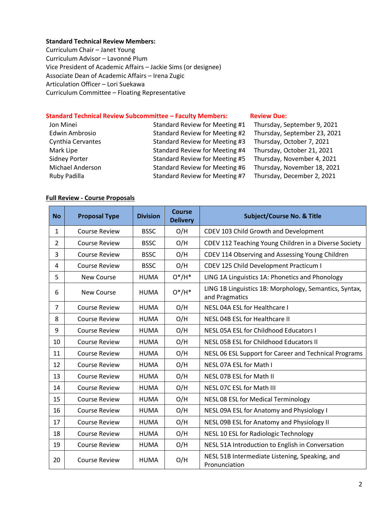#### **Standard Technical Review Members:**

Curriculum Chair – Janet Young Curriculum Advisor – Lavonné Plum Vice President of Academic Affairs – Jackie Sims (or designee) Associate Dean of Academic Affairs – Irena Zugic Articulation Officer – Lori Suekawa Curriculum Committee – Floating Representative

# **Standard Technical Review Subcommittee – Faculty Members: [Review](http://www.curricunet.com/elcamino/documents/Spring%202016%20CCC%20Timeline.pdf) Due:**

| Jon Minei            | Standard Review for Meeting #1 | Thursday, September 9, 2021  |
|----------------------|--------------------------------|------------------------------|
| Edwin Ambrosio       | Standard Review for Meeting #2 | Thursday, September 23, 2021 |
| Cynthia Cervantes    | Standard Review for Meeting #3 | Thursday, October 7, 2021    |
| Mark Lipe            | Standard Review for Meeting #4 | Thursday, October 21, 2021   |
| <b>Sidney Porter</b> | Standard Review for Meeting #5 | Thursday, November 4, 2021   |
| Michael Anderson     | Standard Review for Meeting #6 | Thursday, November 18, 2021  |
| Ruby Padilla         | Standard Review for Meeting #7 | Thursday, December 2, 2021   |

#### **Full Review - Course Proposals**

| <b>No</b>      | <b>Proposal Type</b> | <b>Division</b> | <b>Course</b><br><b>Delivery</b> | <b>Subject/Course No. &amp; Title</b>                                    |
|----------------|----------------------|-----------------|----------------------------------|--------------------------------------------------------------------------|
| 1              | <b>Course Review</b> | <b>BSSC</b>     | O/H                              | CDEV 103 Child Growth and Development                                    |
| $\overline{2}$ | <b>Course Review</b> | <b>BSSC</b>     | O/H                              | CDEV 112 Teaching Young Children in a Diverse Society                    |
| 3              | <b>Course Review</b> | <b>BSSC</b>     | O/H                              | CDEV 114 Observing and Assessing Young Children                          |
| 4              | <b>Course Review</b> | <b>BSSC</b>     | O/H                              | CDEV 125 Child Development Practicum I                                   |
| 5              | <b>New Course</b>    | <b>HUMA</b>     | $O^*/H^*$                        | LING 1A Linguistics 1A: Phonetics and Phonology                          |
| 6              | <b>New Course</b>    | <b>HUMA</b>     | $O^*/H^*$                        | LING 1B Linguistics 1B: Morphology, Semantics, Syntax,<br>and Pragmatics |
| $\overline{7}$ | <b>Course Review</b> | <b>HUMA</b>     | O/H                              | NESL 04A ESL for Healthcare I                                            |
| 8              | <b>Course Review</b> | <b>HUMA</b>     | O/H                              | NESL 04B ESL for Healthcare II                                           |
| 9              | <b>Course Review</b> | <b>HUMA</b>     | O/H                              | NESL 05A ESL for Childhood Educators I                                   |
| 10             | <b>Course Review</b> | <b>HUMA</b>     | O/H                              | NESL 05B ESL for Childhood Educators II                                  |
| 11             | <b>Course Review</b> | <b>HUMA</b>     | O/H                              | NESL 06 ESL Support for Career and Technical Programs                    |
| 12             | <b>Course Review</b> | <b>HUMA</b>     | O/H                              | NESL 07A ESL for Math I                                                  |
| 13             | <b>Course Review</b> | <b>HUMA</b>     | O/H                              | NESL 07B ESL for Math II                                                 |
| 14             | <b>Course Review</b> | <b>HUMA</b>     | O/H                              | NESL 07C ESL for Math III                                                |
| 15             | <b>Course Review</b> | <b>HUMA</b>     | O/H                              | NESL 08 ESL for Medical Terminology                                      |
| 16             | <b>Course Review</b> | <b>HUMA</b>     | O/H                              | NESL 09A ESL for Anatomy and Physiology I                                |
| 17             | <b>Course Review</b> | <b>HUMA</b>     | O/H                              | NESL 09B ESL for Anatomy and Physiology II                               |
| 18             | <b>Course Review</b> | <b>HUMA</b>     | O/H                              | NESL 10 ESL for Radiologic Technology                                    |
| 19             | <b>Course Review</b> | <b>HUMA</b>     | O/H                              | NESL 51A Introduction to English in Conversation                         |
| 20             | <b>Course Review</b> | <b>HUMA</b>     | O/H                              | NESL 51B Intermediate Listening, Speaking, and<br>Pronunciation          |